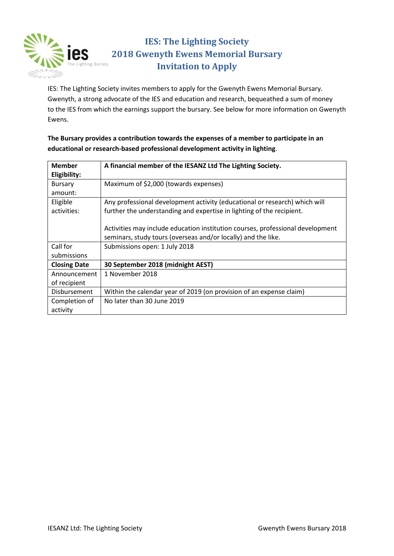

## **IES: The Lighting Society 2018 Gwenyth Ewens Memorial Bursary Invitation to Apply**

IES: The Lighting Society invites members to apply for the Gwenyth Ewens Memorial Bursary. Gwenyth, a strong advocate of the IES and education and research, bequeathed a sum of money to the IES from which the earnings support the bursary. See below for more information on Gwenyth Ewens.

#### **The Bursary provides a contribution towards the expenses of a member to participate in an educational or research-based professional development activity in lighting**.

| Member              | A financial member of the IESANZ Ltd The Lighting Society.                     |
|---------------------|--------------------------------------------------------------------------------|
| Eligibility:        |                                                                                |
| <b>Bursary</b>      | Maximum of \$2,000 (towards expenses)                                          |
| amount:             |                                                                                |
| Eligible            | Any professional development activity (educational or research) which will     |
| activities:         | further the understanding and expertise in lighting of the recipient.          |
|                     |                                                                                |
|                     | Activities may include education institution courses, professional development |
|                     | seminars, study tours (overseas and/or locally) and the like.                  |
| Call for            | Submissions open: 1 July 2018                                                  |
| submissions         |                                                                                |
| <b>Closing Date</b> | 30 September 2018 (midnight AEST)                                              |
| Announcement        | 1 November 2018                                                                |
| of recipient        |                                                                                |
| Disbursement        | Within the calendar year of 2019 (on provision of an expense claim)            |
| Completion of       | No later than 30 June 2019                                                     |
| activity            |                                                                                |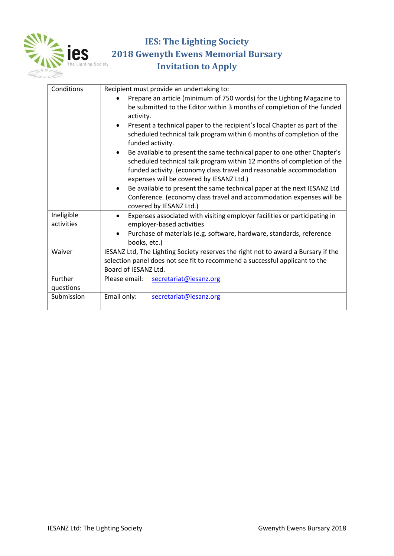

# **IES: The Lighting Society PES: The Lighting Society<br>
<b>PES** 2018 Gwenyth Ewens Memorial Bursary<br>
Invitation to Apply **Invitation to Apply**

| Conditions               | Recipient must provide an undertaking to:                                                                                                                                                                                                                            |
|--------------------------|----------------------------------------------------------------------------------------------------------------------------------------------------------------------------------------------------------------------------------------------------------------------|
|                          | Prepare an article (minimum of 750 words) for the Lighting Magazine to<br>be submitted to the Editor within 3 months of completion of the funded<br>activity.                                                                                                        |
|                          | Present a technical paper to the recipient's local Chapter as part of the<br>scheduled technical talk program within 6 months of completion of the<br>funded activity.                                                                                               |
|                          | Be available to present the same technical paper to one other Chapter's<br>scheduled technical talk program within 12 months of completion of the<br>funded activity. (economy class travel and reasonable accommodation<br>expenses will be covered by IESANZ Ltd.) |
|                          | Be available to present the same technical paper at the next IESANZ Ltd<br>Conference. (economy class travel and accommodation expenses will be<br>covered by IESANZ Ltd.)                                                                                           |
| Ineligible<br>activities | Expenses associated with visiting employer facilities or participating in<br>employer-based activities                                                                                                                                                               |
|                          | Purchase of materials (e.g. software, hardware, standards, reference<br>books, etc.)                                                                                                                                                                                 |
| Waiver                   | IESANZ Ltd, The Lighting Society reserves the right not to award a Bursary if the<br>selection panel does not see fit to recommend a successful applicant to the<br>Board of IESANZ Ltd.                                                                             |
| Further<br>questions     | Please email:<br>secretariat@iesanz.org                                                                                                                                                                                                                              |
| Submission               | Email only:<br>secretariat@iesanz.org                                                                                                                                                                                                                                |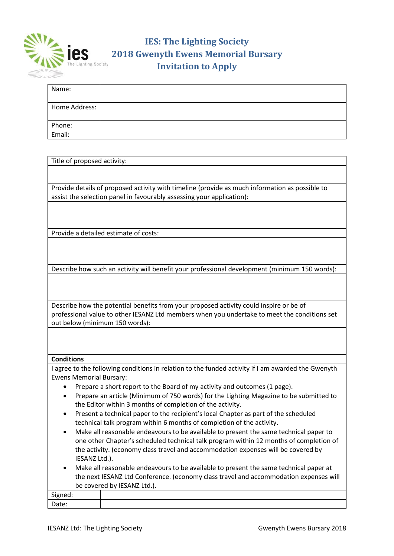

# **IES: The Lighting Society 125. IES:** The Lighting Society<br>**2018 Gwenyth Ewens Memorial Bursary**<br>Invitation to Apply **Invitation to Apply**

| Name:         |  |
|---------------|--|
| Home Address: |  |
| Phone:        |  |
| Email:        |  |

| Title of proposed activity:                                                                        |  |  |
|----------------------------------------------------------------------------------------------------|--|--|
|                                                                                                    |  |  |
|                                                                                                    |  |  |
| Provide details of proposed activity with timeline (provide as much information as possible to     |  |  |
| assist the selection panel in favourably assessing your application):                              |  |  |
|                                                                                                    |  |  |
|                                                                                                    |  |  |
| Provide a detailed estimate of costs:                                                              |  |  |
|                                                                                                    |  |  |
|                                                                                                    |  |  |
|                                                                                                    |  |  |
| Describe how such an activity will benefit your professional development (minimum 150 words):      |  |  |
|                                                                                                    |  |  |
|                                                                                                    |  |  |
|                                                                                                    |  |  |
| Describe how the potential benefits from your proposed activity could inspire or be of             |  |  |
| professional value to other IESANZ Ltd members when you undertake to meet the conditions set       |  |  |
| out below (minimum 150 words):                                                                     |  |  |
|                                                                                                    |  |  |
|                                                                                                    |  |  |
| <b>Conditions</b>                                                                                  |  |  |
| I agree to the following conditions in relation to the funded activity if I am awarded the Gwenyth |  |  |
| <b>Ewens Memorial Bursary:</b>                                                                     |  |  |
| Prepare a short report to the Board of my activity and outcomes (1 page).                          |  |  |
| Prepare an article (Minimum of 750 words) for the Lighting Magazine to be submitted to<br>٠        |  |  |
| the Editor within 3 months of completion of the activity.                                          |  |  |
| Present a technical paper to the recipient's local Chapter as part of the scheduled<br>٠           |  |  |
| technical talk program within 6 months of completion of the activity.                              |  |  |
| Make all reasonable endeavours to be available to present the same technical paper to              |  |  |
| one other Chapter's scheduled technical talk program within 12 months of completion of             |  |  |
| the activity. (economy class travel and accommodation expenses will be covered by                  |  |  |
| IESANZ Ltd.).                                                                                      |  |  |
| Make all reasonable endeavours to be available to present the same technical paper at              |  |  |
| the next IESANZ Ltd Conference. (economy class travel and accommodation expenses will              |  |  |
| be covered by IESANZ Ltd.).                                                                        |  |  |
| Signed:                                                                                            |  |  |
| Date:                                                                                              |  |  |
|                                                                                                    |  |  |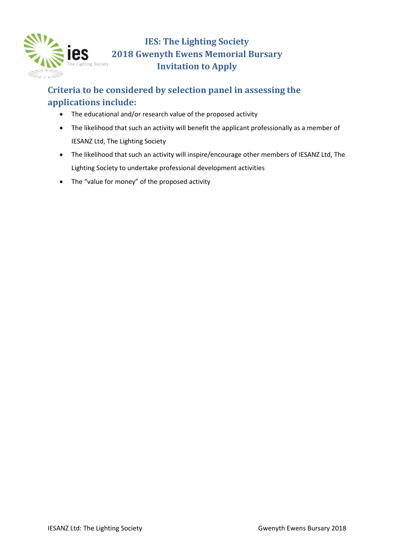

### **Criteria to be considered by selection panel in assessing the applications include:**

- The educational and/or research value of the proposed activity
- The likelihood that such an activity will benefit the applicant professionally as a member of IESANZ Ltd, The Lighting Society
- The likelihood that such an activity will inspire/encourage other members of IESANZ Ltd, The Lighting Society to undertake professional development activities
- The "value for money" of the proposed activity